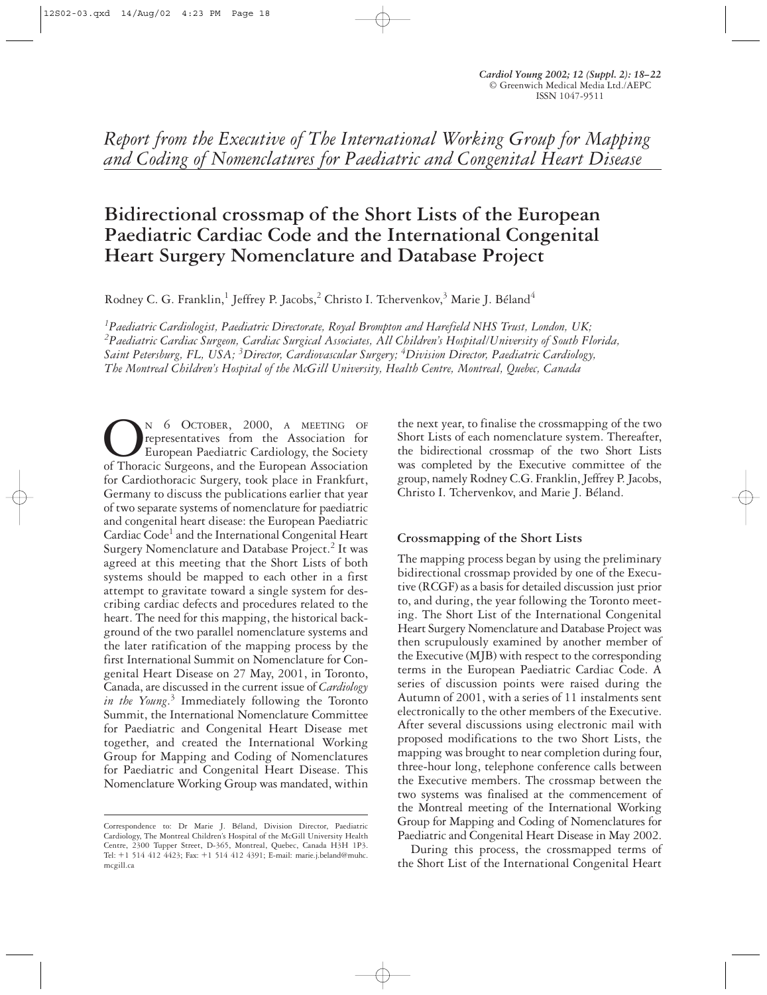*Cardiol Young 2002; 12 (Suppl. 2): 18–22* © Greenwich Medical Media Ltd./AEPC ISSN 1047-9511

*Report from the Executive of The International Working Group for Mapping and Coding of Nomenclatures for Paediatric and Congenital Heart Disease*

# **Bidirectional crossmap of the Short Lists of the European Paediatric Cardiac Code and the International Congenital Heart Surgery Nomenclature and Database Project**

Rodney C. G. Franklin,<sup>1</sup> Jeffrey P. Jacobs,<sup>2</sup> Christo I. Tchervenkov,<sup>3</sup> Marie J. Béland<sup>4</sup>

*1 Paediatric Cardiologist, Paediatric Directorate, Royal Brompton and Harefield NHS Trust, London, UK; 2 Paediatric Cardiac Surgeon, Cardiac Surgical Associates, All Children's Hospital/University of South Florida, Saint Petersburg, FL, USA; 3 Director, Cardiovascular Surgery; 4 Division Director, Paediatric Cardiology, The Montreal Children's Hospital of the McGill University, Health Centre, Montreal, Quebec, Canada*

ON 6 OCTOBER, 2000, A MEETING OF representatives from the Association for European Paediatric Cardiology, the Society of Thoracic Surgeons, and the European Association for Cardiothoracic Surgery, took place in Frankfurt, Germany to discuss the publications earlier that year of two separate systems of nomenclature for paediatric and congenital heart disease: the European Paediatric Cardiac Code<sup>1</sup> and the International Congenital Heart Surgery Nomenclature and Database Project.<sup>2</sup> It was agreed at this meeting that the Short Lists of both systems should be mapped to each other in a first attempt to gravitate toward a single system for describing cardiac defects and procedures related to the heart. The need for this mapping, the historical background of the two parallel nomenclature systems and the later ratification of the mapping process by the first International Summit on Nomenclature for Congenital Heart Disease on 27 May, 2001, in Toronto, Canada, are discussed in the current issue of *Cardiology in the Young*. <sup>3</sup> Immediately following the Toronto Summit, the International Nomenclature Committee for Paediatric and Congenital Heart Disease met together, and created the International Working Group for Mapping and Coding of Nomenclatures for Paediatric and Congenital Heart Disease. This Nomenclature Working Group was mandated, within

the next year, to finalise the crossmapping of the two Short Lists of each nomenclature system. Thereafter, the bidirectional crossmap of the two Short Lists was completed by the Executive committee of the group, namely Rodney C.G. Franklin, Jeffrey P. Jacobs, Christo I. Tchervenkov, and Marie J. Béland.

### **Crossmapping of the Short Lists**

The mapping process began by using the preliminary bidirectional crossmap provided by one of the Executive (RCGF) as a basis for detailed discussion just prior to, and during, the year following the Toronto meeting. The Short List of the International Congenital Heart Surgery Nomenclature and Database Project was then scrupulously examined by another member of the Executive (MJB) with respect to the corresponding terms in the European Paediatric Cardiac Code. A series of discussion points were raised during the Autumn of 2001, with a series of 11 instalments sent electronically to the other members of the Executive. After several discussions using electronic mail with proposed modifications to the two Short Lists, the mapping was brought to near completion during four, three-hour long, telephone conference calls between the Executive members. The crossmap between the two systems was finalised at the commencement of the Montreal meeting of the International Working Group for Mapping and Coding of Nomenclatures for Paediatric and Congenital Heart Disease in May 2002.

During this process, the crossmapped terms of the Short List of the International Congenital Heart

Correspondence to: Dr Marie J. Béland, Division Director, Paediatric Cardiology, The Montreal Children's Hospital of the McGill University Health Centre, 2300 Tupper Street, D-365, Montreal, Quebec, Canada H3H 1P3. Tel: +1 514 412 4423; Fax: +1 514 412 4391; E-mail: marie.j.beland@muhc. mcgill.ca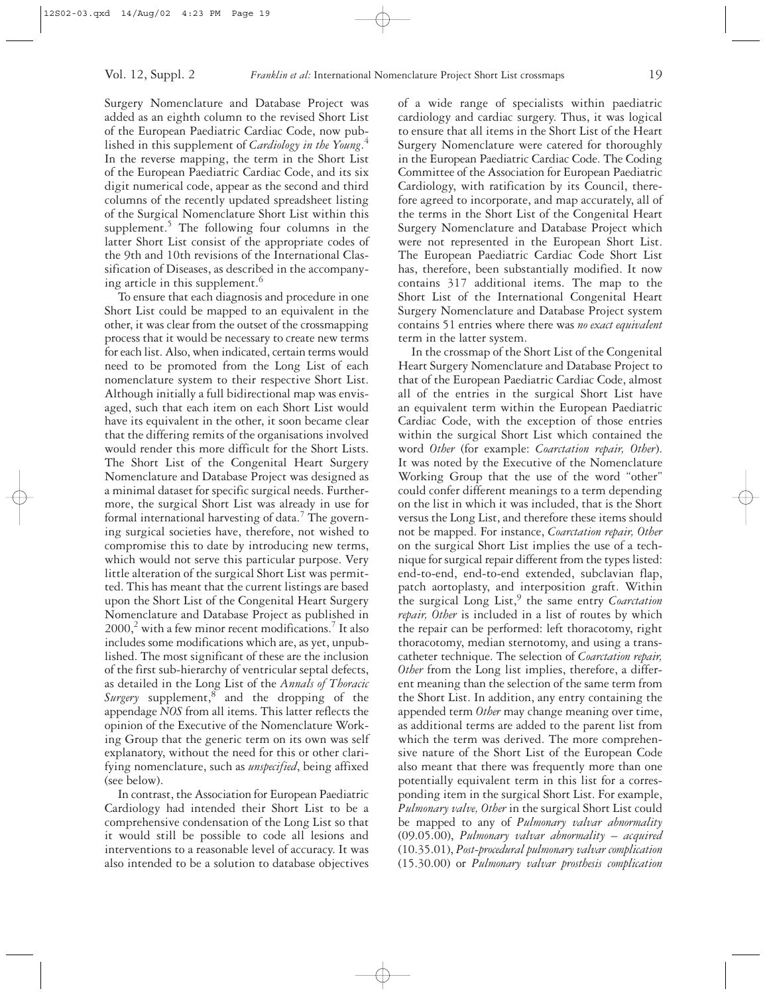Surgery Nomenclature and Database Project was added as an eighth column to the revised Short List of the European Paediatric Cardiac Code, now published in this supplement of *Cardiology in the Young*. 4 In the reverse mapping, the term in the Short List of the European Paediatric Cardiac Code, and its six digit numerical code, appear as the second and third columns of the recently updated spreadsheet listing of the Surgical Nomenclature Short List within this supplement.<sup>5</sup> The following four columns in the latter Short List consist of the appropriate codes of the 9th and 10th revisions of the International Classification of Diseases, as described in the accompanying article in this supplement.<sup>6</sup>

To ensure that each diagnosis and procedure in one Short List could be mapped to an equivalent in the other, it was clear from the outset of the crossmapping process that it would be necessary to create new terms for each list. Also, when indicated, certain terms would need to be promoted from the Long List of each nomenclature system to their respective Short List. Although initially a full bidirectional map was envisaged, such that each item on each Short List would have its equivalent in the other, it soon became clear that the differing remits of the organisations involved would render this more difficult for the Short Lists. The Short List of the Congenital Heart Surgery Nomenclature and Database Project was designed as a minimal dataset for specific surgical needs. Furthermore, the surgical Short List was already in use for formal international harvesting of data.<sup>7</sup> The governing surgical societies have, therefore, not wished to compromise this to date by introducing new terms, which would not serve this particular purpose. Very little alteration of the surgical Short List was permitted. This has meant that the current listings are based upon the Short List of the Congenital Heart Surgery Nomenclature and Database Project as published in  $2000$ ,<sup>2</sup> with a few minor recent modifications.<sup>7</sup> It also includes some modifications which are, as yet, unpublished. The most significant of these are the inclusion of the first sub-hierarchy of ventricular septal defects, as detailed in the Long List of the *Annals of Thoracic Surgery* supplement,8 and the dropping of the appendage *NOS* from all items. This latter reflects the opinion of the Executive of the Nomenclature Working Group that the generic term on its own was self explanatory, without the need for this or other clarifying nomenclature, such as *unspecified*, being affixed (see below).

In contrast, the Association for European Paediatric Cardiology had intended their Short List to be a comprehensive condensation of the Long List so that it would still be possible to code all lesions and interventions to a reasonable level of accuracy. It was also intended to be a solution to database objectives of a wide range of specialists within paediatric cardiology and cardiac surgery. Thus, it was logical to ensure that all items in the Short List of the Heart Surgery Nomenclature were catered for thoroughly in the European Paediatric Cardiac Code. The Coding Committee of the Association for European Paediatric Cardiology, with ratification by its Council, therefore agreed to incorporate, and map accurately, all of the terms in the Short List of the Congenital Heart Surgery Nomenclature and Database Project which were not represented in the European Short List. The European Paediatric Cardiac Code Short List has, therefore, been substantially modified. It now contains 317 additional items. The map to the Short List of the International Congenital Heart Surgery Nomenclature and Database Project system contains 51 entries where there was *no exact equivalent* term in the latter system.

In the crossmap of the Short List of the Congenital Heart Surgery Nomenclature and Database Project to that of the European Paediatric Cardiac Code, almost all of the entries in the surgical Short List have an equivalent term within the European Paediatric Cardiac Code, with the exception of those entries within the surgical Short List which contained the word *Other* (for example: *Coarctation repair, Other*). It was noted by the Executive of the Nomenclature Working Group that the use of the word "other" could confer different meanings to a term depending on the list in which it was included, that is the Short versus the Long List, and therefore these items should not be mapped. For instance, *Coarctation repair, Other* on the surgical Short List implies the use of a technique for surgical repair different from the types listed: end-to-end, end-to-end extended, subclavian flap, patch aortoplasty, and interposition graft. Within the surgical Long List,<sup>9</sup> the same entry *Coarctation repair, Other* is included in a list of routes by which the repair can be performed: left thoracotomy, right thoracotomy, median sternotomy, and using a transcatheter technique. The selection of *Coarctation repair, Other* from the Long list implies, therefore, a different meaning than the selection of the same term from the Short List. In addition, any entry containing the appended term *Other* may change meaning over time, as additional terms are added to the parent list from which the term was derived. The more comprehensive nature of the Short List of the European Code also meant that there was frequently more than one potentially equivalent term in this list for a corresponding item in the surgical Short List. For example, *Pulmonary valve, Other* in the surgical Short List could be mapped to any of *Pulmonary valvar abnormality* (09.05.00), *Pulmonary valvar abnormality* – *acquired* (10.35.01), *Post-procedural pulmonary valvar complication* (15.30.00) or *Pulmonary valvar prosthesis complication*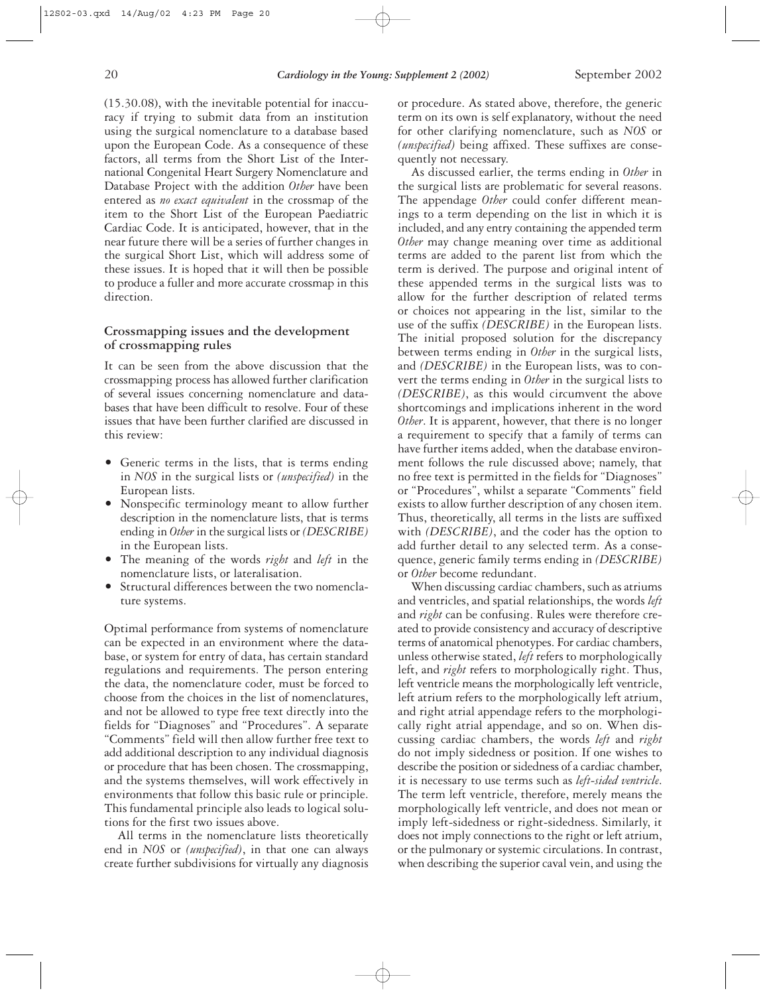(15.30.08), with the inevitable potential for inaccuracy if trying to submit data from an institution using the surgical nomenclature to a database based upon the European Code. As a consequence of these factors, all terms from the Short List of the International Congenital Heart Surgery Nomenclature and Database Project with the addition *Other* have been entered as *no exact equivalent* in the crossmap of the item to the Short List of the European Paediatric Cardiac Code. It is anticipated, however, that in the near future there will be a series of further changes in the surgical Short List, which will address some of these issues. It is hoped that it will then be possible to produce a fuller and more accurate crossmap in this direction.

# **Crossmapping issues and the development of crossmapping rules**

It can be seen from the above discussion that the crossmapping process has allowed further clarification of several issues concerning nomenclature and databases that have been difficult to resolve. Four of these issues that have been further clarified are discussed in this review:

- Generic terms in the lists, that is terms ending in *NOS* in the surgical lists or *(unspecified)* in the European lists.
- Nonspecific terminology meant to allow further description in the nomenclature lists, that is terms ending in *Other* in the surgical lists or *(DESCRIBE)* in the European lists.
- The meaning of the words *right* and *left* in the nomenclature lists, or lateralisation.
- Structural differences between the two nomenclature systems.

Optimal performance from systems of nomenclature can be expected in an environment where the database, or system for entry of data, has certain standard regulations and requirements. The person entering the data, the nomenclature coder, must be forced to choose from the choices in the list of nomenclatures, and not be allowed to type free text directly into the fields for "Diagnoses" and "Procedures". A separate "Comments" field will then allow further free text to add additional description to any individual diagnosis or procedure that has been chosen. The crossmapping, and the systems themselves, will work effectively in environments that follow this basic rule or principle. This fundamental principle also leads to logical solutions for the first two issues above.

All terms in the nomenclature lists theoretically end in *NOS* or *(unspecified)*, in that one can always create further subdivisions for virtually any diagnosis or procedure. As stated above, therefore, the generic term on its own is self explanatory, without the need for other clarifying nomenclature, such as *NOS* or *(unspecified)* being affixed. These suffixes are consequently not necessary.

As discussed earlier, the terms ending in *Other* in the surgical lists are problematic for several reasons. The appendage *Other* could confer different meanings to a term depending on the list in which it is included, and any entry containing the appended term *Other* may change meaning over time as additional terms are added to the parent list from which the term is derived. The purpose and original intent of these appended terms in the surgical lists was to allow for the further description of related terms or choices not appearing in the list, similar to the use of the suffix *(DESCRIBE)* in the European lists. The initial proposed solution for the discrepancy between terms ending in *Other* in the surgical lists, and *(DESCRIBE)* in the European lists, was to convert the terms ending in *Other* in the surgical lists to *(DESCRIBE)*, as this would circumvent the above shortcomings and implications inherent in the word *Other*. It is apparent, however, that there is no longer a requirement to specify that a family of terms can have further items added, when the database environment follows the rule discussed above; namely, that no free text is permitted in the fields for "Diagnoses" or "Procedures", whilst a separate "Comments" field exists to allow further description of any chosen item. Thus, theoretically, all terms in the lists are suffixed with *(DESCRIBE)*, and the coder has the option to add further detail to any selected term. As a consequence, generic family terms ending in *(DESCRIBE)* or *Other* become redundant.

When discussing cardiac chambers, such as atriums and ventricles, and spatial relationships, the words *left* and *right* can be confusing. Rules were therefore created to provide consistency and accuracy of descriptive terms of anatomical phenotypes. For cardiac chambers, unless otherwise stated, *left* refers to morphologically left, and *right* refers to morphologically right. Thus, left ventricle means the morphologically left ventricle, left atrium refers to the morphologically left atrium, and right atrial appendage refers to the morphologically right atrial appendage, and so on. When discussing cardiac chambers, the words *left* and *right* do not imply sidedness or position. If one wishes to describe the position or sidedness of a cardiac chamber, it is necessary to use terms such as *left-sided ventricle*. The term left ventricle, therefore, merely means the morphologically left ventricle, and does not mean or imply left-sidedness or right-sidedness. Similarly, it does not imply connections to the right or left atrium, or the pulmonary or systemic circulations. In contrast, when describing the superior caval vein, and using the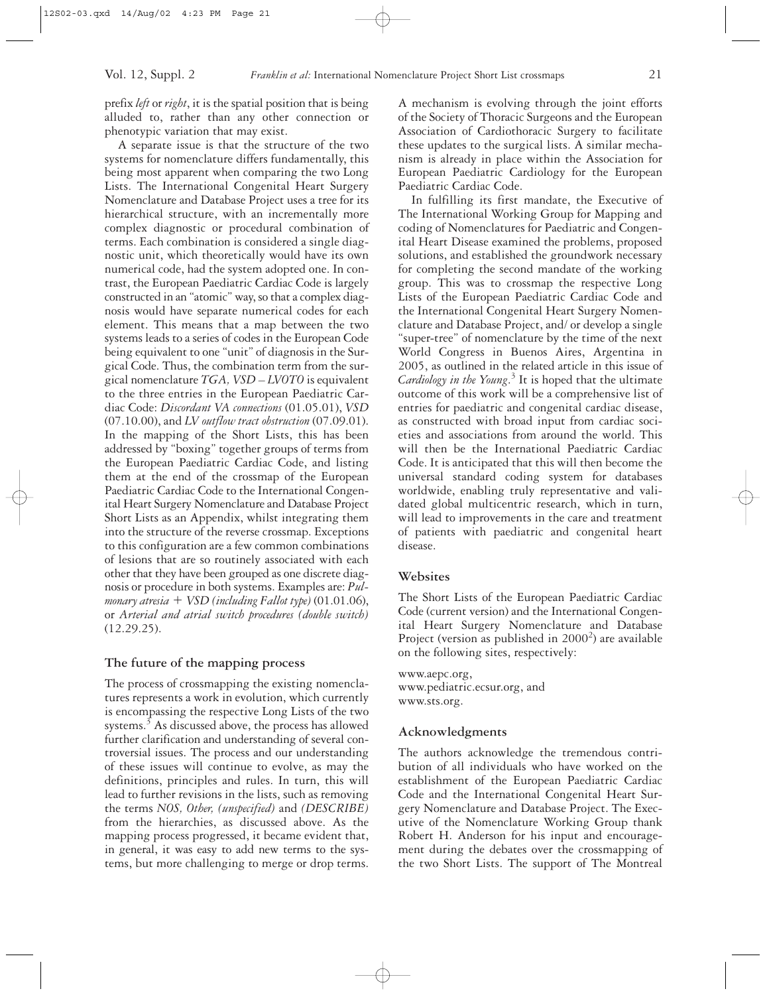prefix *left* or *right*, it is the spatial position that is being alluded to, rather than any other connection or phenotypic variation that may exist.

A separate issue is that the structure of the two systems for nomenclature differs fundamentally, this being most apparent when comparing the two Long Lists. The International Congenital Heart Surgery Nomenclature and Database Project uses a tree for its hierarchical structure, with an incrementally more complex diagnostic or procedural combination of terms. Each combination is considered a single diagnostic unit, which theoretically would have its own numerical code, had the system adopted one. In contrast, the European Paediatric Cardiac Code is largely constructed in an "atomic" way, so that a complex diagnosis would have separate numerical codes for each element. This means that a map between the two systems leads to a series of codes in the European Code being equivalent to one "unit" of diagnosis in the Surgical Code. Thus, the combination term from the surgical nomenclature *TGA, VSD – LVOTO* is equivalent to the three entries in the European Paediatric Cardiac Code: *Discordant VA connections* (01.05.01), *VSD* (07.10.00), and *LV outflow tract obstruction* (07.09.01). In the mapping of the Short Lists, this has been addressed by "boxing" together groups of terms from the European Paediatric Cardiac Code, and listing them at the end of the crossmap of the European Paediatric Cardiac Code to the International Congenital Heart Surgery Nomenclature and Database Project Short Lists as an Appendix, whilst integrating them into the structure of the reverse crossmap. Exceptions to this configuration are a few common combinations of lesions that are so routinely associated with each other that they have been grouped as one discrete diagnosis or procedure in both systems. Examples are: *Pulmonary atresia VSD (including Fallot type)* (01.01.06), or *Arterial and atrial switch procedures (double switch)* (12.29.25).

### **The future of the mapping process**

The process of crossmapping the existing nomenclatures represents a work in evolution, which currently is encompassing the respective Long Lists of the two systems.<sup>3</sup> As discussed above, the process has allowed further clarification and understanding of several controversial issues. The process and our understanding of these issues will continue to evolve, as may the definitions, principles and rules. In turn, this will lead to further revisions in the lists, such as removing the terms *NOS, Other, (unspecified)* and *(DESCRIBE)* from the hierarchies, as discussed above. As the mapping process progressed, it became evident that, in general, it was easy to add new terms to the systems, but more challenging to merge or drop terms.

A mechanism is evolving through the joint efforts of the Society of Thoracic Surgeons and the European Association of Cardiothoracic Surgery to facilitate these updates to the surgical lists. A similar mechanism is already in place within the Association for European Paediatric Cardiology for the European Paediatric Cardiac Code.

In fulfilling its first mandate, the Executive of The International Working Group for Mapping and coding of Nomenclatures for Paediatric and Congenital Heart Disease examined the problems, proposed solutions, and established the groundwork necessary for completing the second mandate of the working group. This was to crossmap the respective Long Lists of the European Paediatric Cardiac Code and the International Congenital Heart Surgery Nomenclature and Database Project, and/ or develop a single "super-tree" of nomenclature by the time of the next World Congress in Buenos Aires, Argentina in 2005, as outlined in the related article in this issue of *Cardiology in the Young*. <sup>3</sup> It is hoped that the ultimate outcome of this work will be a comprehensive list of entries for paediatric and congenital cardiac disease, as constructed with broad input from cardiac societies and associations from around the world. This will then be the International Paediatric Cardiac Code. It is anticipated that this will then become the universal standard coding system for databases worldwide, enabling truly representative and validated global multicentric research, which in turn, will lead to improvements in the care and treatment of patients with paediatric and congenital heart disease.

#### **Websites**

The Short Lists of the European Paediatric Cardiac Code (current version) and the International Congenital Heart Surgery Nomenclature and Database Project (version as published in 2000<sup>2</sup>) are available on the following sites, respectively:

www.aepc.org, www.pediatric.ecsur.org, and www.sts.org.

### **Acknowledgments**

The authors acknowledge the tremendous contribution of all individuals who have worked on the establishment of the European Paediatric Cardiac Code and the International Congenital Heart Surgery Nomenclature and Database Project. The Executive of the Nomenclature Working Group thank Robert H. Anderson for his input and encouragement during the debates over the crossmapping of the two Short Lists. The support of The Montreal